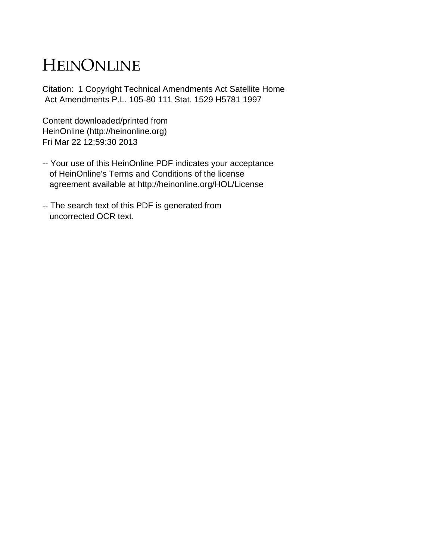# HEINONLINE

Citation: 1 Copyright Technical Amendments Act Satellite Home Act Amendments P.L. 105-80 111 Stat. 1529 H5781 1997

Content downloaded/printed from HeinOnline (http://heinonline.org) Fri Mar 22 12:59:30 2013

- -- Your use of this HeinOnline PDF indicates your acceptance of HeinOnline's Terms and Conditions of the license agreement available at http://heinonline.org/HOL/License
- -- The search text of this PDF is generated from uncorrected OCR text.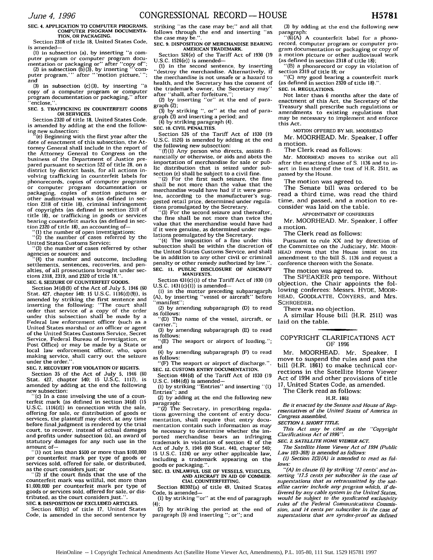## **SEC. 4. APPLICATION TO COMPUTER PROGRAMS, COMPUTER PROGRAM DOCUMENTA-TION, OR PACKAGING.**

Section **2318** of title **18,** United States Code, is amended-

**(1)** in subsection (a). **by** inserting "a **com**puter program or computer program docu-

mentation or packaging or" after "copy of"<br>(2) in subsection (b)(3), by inserting ""com-<br>puter program,'" after ""motion picture,'" and

**(3)** in subsection (c)(3). **by** inserting "a copy of a computer program or computer program documentation or packaging." after "enclose,".

#### **SEC. 5. TRAFFICKING IN COUNTERFEIT GOODS OR SERVICES.**

Section **2320** of title **18,** United States Code, is amended **by** adding at the end the following new subsection:

(e) Beginning with the first year after the date of enactment of this subsection, the Attorney General shall include in the report of the Attorney General to Congress on the business of the Department of Justice prepared pursuant to section **522** of title **28,** on a district by district basis, for all actions involving trafficking in counterfeit labels for phonorecords, copies of computer programs or computer program documentation or packaging, copies of motion pictures or other audiovisual works (as defined in section 2318 of title **18),** criminal infringement of copyrights (as defined in section **2319** of title 18). or trafficking in goods or services bearing counterfeit marks (as defined in section 2320 of title 18), an accounting of-

"(1) the number of open investigations; "(2) the number of cases referred by the

United States Customs Service;

"(3) the number of cases referred by other agencies or sources: and

"(4) the number and outcome, including settlements, sentences, recoveries, and penalties, of all prosecutions brought under sections **2318,** 2319. and 2320 of title 18.".

**SEC. 6. SEIZURE** OF **COUNTERFEIT GOODS.**

Section 34 **(d) (9)** of the Act of July **5,** 1946 **(60** Stat. 427, chapter 540; **15 U.S.C. 1116(d)(9)).** is amended **by** striking the first sentence and inserting the following: "The court shall order that service of a copy of the order under this subsection shall be made **by** a Federal law enforcement officer (such as a United States marshal or an officer or agent of the United States Customs Service, Secret Service, Federal Bureau of Investigation, or Post Office) or may be made **by** a State or local law enforcement officer, who, upon making service, shall carry **out** the seizure under the order.

**SEC. 7.** RECOVERY FOR VIOLATION **OF RIGHTS.**

Section **35** of the Act of July **5.** 1946 **(60** Stat. 427, chapter 540; **15** U.S.C. **1117).** is amended **by** adding at the end the following new subsection:

-(c) In a case involving the use of a counterfeit mark (as defined in section 34(d) (15 U.S.C. 1116(d)) in connection with the sale, offering for sale, or distribution of goods or services, the plaintiff may elect, at any time before final judgment is rendered by the trial court, to recover, instead of actual damages and profits under subsection (a), an award of statutory damages for any such use in the amount **of-**

(1) not less than **\$500** or more than \$100,000 per counterfeit mark per type of goods or services sold, offered for sale, or distributed, as the court considers just; or

"(2) if the court finds that the use of the counterfeit mark was willful, not more than \$1,000,000 per counterfeit mark per type of goods or services sold, offered for sale. or distributed, as the court considers just.". **SEC. 8. DISPOSITION OF EXCLUDED ARTICLES.**

Section 603(c) of title **17,** United States Code, is amended in the second sentence **by** striking "as the case may be;" and all that follows through the end and inserting "as the case may  $\widetilde{\text{be}}$  .'

#### **SEC. 9. DISPOSITION OF MERCHANDISE BEARING AMERICAN TRADEMARK.**

Section 526(e) of the Tariff Act of 1930 (19 U.S.C. 1526(e)) is amended-

(1) in the second sentence, **by** inserting "destroy the merchandise. Alternatively, if the merchandise is not unsafe or a hazard to health, and the Secretary has the consent of the trademark owner, the Secretary may' after "shall, after forfeiture,

(2) by inserting "or" at the end of paragraph (2);

(3) by striking **",** or" at the end of paragraph (3) and inserting a period; and

(4) by striking paragraph (4).

**SEC. 10.** CIVIL **PENALTIES.**

Section 526 of the Tariff Act of 1930 (19 U.S.C. 1526) is amended by adding at the end the following new subsection:

" $(f)(1)$  Any person who directs, assists financially or otherwise, or aids and abets the importation of merchandise for sale or public distribution that is seized under subsection (e) shall be subject to a civil fine.

(2) For the first such seizure, the fine shall be not more than the value that the merchandise would have had if it were genuine, according to the manufacturer's suggested retail price, determined under regulations promulgated **by** the Secretary.

"(3) For the second seizure and thereafter, the fine shall be not more than twice the value that the merchandise would have had if it were genuine, as determined under regulations promulgated by the Secretary.

"(4) The imposition of a fine under this subsection shall be within the discretion of the United States Customs Service, and shall be in addition to any other civil or criminal penalty or other remedy authorized by law.' **SEC. 11. PUBLIC** DISCLOSURE OF AIRCRAFT MANIFESTS.

Section 431(c) (1) of the Tariff Act of 1930 (19 U.S.C.  $1431(c)(1)$  is amended-

**(1)** in the matter preceding subparagarph (A), by inserting "vessel or aircraft" before manifest"

(2) by amending subparagraph **(D)** to read as follows:

"(D) The name of the vessel, aircraft, or carrier.'

**(3)** by amending subparagraph (E) to read as follows:

'(E) The seaport or airport of loading."; and

(4) by amending subparagraph (F) to read as follows:

"(F) The seaport or airport of discharge.".

**SEC. 12. CUSTOMS ENTRY DOCUMENTATION.** Section 484(d) of the Tariff Act of **1930 (19** U.S.C. 1484(d)) is amended-

**(1)** by striking "Entries" and inserting "(1) Entries"; and

(2) **by** adding at the end the following new paragraph:

"(2) The Secretary, in prescribing regulations governing the content of entry documentation, shall require that entry documentation contain such information as may be necessary to determine whether the imported merchandise bears an infringing trademark in violation of section 42 of the Act of July **5,** 1946 **(60** Stat. 440. chapter 540; **<sup>15</sup>**U.S.C. 1124) or any other applicable law, including a trademark appearing on the goods or packaging.".

**SEC. 13. UNLAWFUL USE** OF **VESSELS, VEHICLES, AND** AIRCRAFT **IN** AID OF COMMER-**CIAL COUNTERFEITING.**

Section 80302(a) of title 49. United States Code, is amended- **(1) by** striking "or" at the end of paragraph

 $(4)$ 

(2) **by** striking the period at the end of paragraph **(5)** and inserting "; or": and

**(3) by** adding at the end the following new paragraph:

 $(6)(A)$  A counterfeit label for a phonorecord, computer program or computer program documentation or packaging or copy of a motion picture or other audiovisual work (as defined in section 2318 of title 18);

"(B) a phonorecord or copy in violation of section 2319 of title 18; or

"(C) any good bearing a counterfeit mark (as defined in section 2320 of title 18).".

**SEC.** 14. **REGULATIONS.**

Not later than 6 months after the date of enactment of this Act, the Secretary of the Treasury shall prescribe such regulations or amendments to existing regulations that may be necessary to implement and enforce this Act.

MOTION OFFERED BY MR. MOORHEAD

Mr. MOORHEAD. Mr. Speaker, I offer a motion.

The Clerk read as follows:

Mr. MOORHEAD moves to strike out all after the enacting clause of **S.** 1136 and to insert in lieu thereof the text of H.R. 2511, as passed by the House.

The motion was agreed to.

The Senate bill was ordered to be read a third time, was read the third time, and passed, and a motion to reconsider was laid on the table.

APPOINTMENT OF CONFEREES

Mr. MOORHEAD. Mr. Speaker, I offer a motion.

The Clerk read as follows:

Pursuant to rule XX and by direction of the Committee on the Judiciary, Mr. MOOR-HEAD moves that the House insist on its amendment to the bill **S.** 1136 and request a conference thereon with the Senate.

The motion was agreed to.

The SPEAKER pro tempore. Without objection, the Chair appoints the following conferees: Messrs. HYDE, MOOR-HEAD, GOODLATTE, CONYERS, and Mrs. SCHROEDER.

There was no objection.

A similar House bill (H.R. 2511) was laid on the table.

### COPYRIGHT CLARIFICATIONS ACT OF 1996

Mr. MOORHEAD. Mr. Speaker, I move to suspend the rules and pass the bill (H.R. 1861) to make technical corrections in the Satellite Home Viewer Act of 1994 and other provisions of title 17, United States Code, as amended.

The Clerk read as follows:

H.R. 1861

*Be it enacted by the Senate* and *House of Representatives of the United States of America in Congress assembled,*

*SECTION* **1.** *SHORT TITLE.*

*This Act may be cited as the "Copyright Clarifications Act of 1996 ".*

*SEC. 2. SATELLITE HOME VIEWER ACT.*

*The Satellite Home Viewer Act of 1994 (Public Law 103-369) is amended as follows:*

**(1)** *Section 2(3) (A) is amended to read as follows:*

*"(A) in clause (i) by striking '12 cents' and inserting '17.5 cents per subscriber in the case of superstations that as retransmitted by the satellite carrier include any program which, if delivered by any cable system in the United States, would be subject to the syndicated exclusivity rules of the Federal Communications Commission, and 14 cents per subscriber in the case of superstations that are syndex-proof as defined*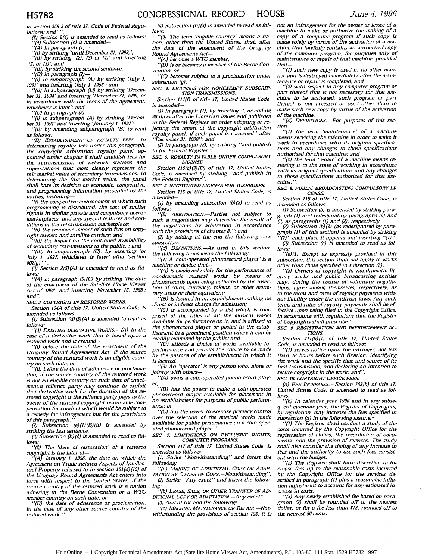**NGRESSIONAL** RECORD **- HOUSE**

*in section 258.2 of title 37, Code of Federal Regulations; and' ".*

*(2) Section 2(4) is amended to read as follows: "(4) Subsection (c) is amended-*

*"(A) in paragraph (I)-*

*"(i) by striking 'until December 31, 1992,'; "'(ii) by striking '(2), (3) or (4)' and inserting '(2) or (3); and*

*"(iii) by striking the second sentence;*

*"(B) in paragraph (2)-*

*"(i) in subparagraph (A) by striking 'July 1, 1991'and inserting 'July 1, 1996'; and "(ii) in subparagraph (D) by striking 'Decem-*

*ber 31, 1994' and inserting 'December 31, 1999, or in accordance with the terms of the agreement,*

*whichever is later'; and "(C) in paragraph (3)-*

*"(i) in subparagraph (A) by striking 'December 31, 1991' and inserting 'January 1, 1997'; "(ii) by amending subparagraph (B) to read*

*as follows: '(B) ESTABLISHMENT OF ROYALTY FEES.-In*

*determining royalty fees under this paragraph, the copyright arbitration royalty panel appointed under chapter 8 shall establish fees for the retransmission of network stations and superstations that most clearly represent the fair market value of secondary transmissions. In determining the fair market value, the panel shall base its decision on economic, competitive, and programming information presented by the parties, including-*

*'(i) the competitive environment in which such programming is distributed, the cost of similar signals in similar private and compulsory license marketplaces, and any special features and conditions of the retransmission marketplace;*

*'(ii) the economic impact of such fees on copyright owners and satellite carriers; and*

*'(iii) the impact on the continued availability of secondary transmissions to the public.'; and*

*"(ii) in subparagraph (C), by inserting 'or July 1, 1997, whichever is later' after 'section 802(g) '.".*

*(3) Section 2(5)(A) is amended to read as follows:*

*"(A) in paragraph (5)(C) by striking 'the date of the enactment of the Satellite Home Viewer Act of 1988' and inserting 'November 16, 1988'; and".*

*SEC. 3. COPYRIGHT IN RESTORED WORKS.*

*Section 104A of title 17, United States Code, is amended as follows:*

*(1) Subsection (d)(3)(A) is amended to read as follows:*

*"(3) EXISTING DERIVATIVE WORKS.-(A) In the case of a derivative work that is based upon a restored work and is crea ted-*

*'(i) before the date of the enactment of the Uruguay Round Agreements Act, if the source country of the restored work is an eligible country on such date, or "(il) before the date of adherence or proclama-*

*tion, if the source country of the restored work is not an eligible country on such date of enactment,a reliance party may continue to exploit that derivative work for the duration of the restored copyright if the reliance party pays to the owner of the restored copyright reasonable compensation for conduct which would be subject to a remedy for infringement but for the provisions of this paragraph."*

*(2) Subsection (e)(l)(B)(ii) is amended by striking the last sentence.*

*(3) Subsection (h)(2) is amended to read as follows:*

*"(2) The 'date of restoration' of a restored copyright is the later of- "(A) January 1, 1996, the date on which the*

*Agreement on Trade-Related Aspects of Intellectual Property referred to in section 101 (d) (15) of the Uruguay Round Agreements Act enters into force with respect to the United States, if the source country of the restored work is a nation adhering to the Berne Convention or a WTO member country on such date, or*

*"(B) the date of adherence or proclamation, in the case of any other source country of the restored work. "*

*(4) Subsection (h)(3) is amended to read as follows:*

*"(3) The term 'eligible country' means a nation, other than the United States, that, after the date of the enactment of the Uruguay Round Agreements Act-*

*"(A) becomes a WTO member,*

*"(B) is or becomes a member of the Berne Convention, or*

*"(C) becomes subject to a proclamation under subsection (g,). ".*

*SEC.* **4. LICENSES** *FOR NONEXEMPT SUBSCRIP-***TION TRANSMISSIONS.**

*Section 114(t) of title 17. United States Code, is amended-*

*(1) in paragraph (1), by inserting* **".** *or ending 30 days after the Librarian issues and publishes in the Federal Register an order adopting or rejecting the report of the copyright arbitration royalty panel, if such panel is convened" after*

*"December 31, 2000"; and (2) in paragraph (2), by striking "and publish in the Federal Register".*

*SEC. 5. ROYALTY PAYABLE UNDER COMPULSORY* **LICENSE.**

*Section 115(c)(3)(D) of title 17, United States Code, is amended by striking "and publish in the Federal Register".*

*SEC. 6. NEGOTIATED LICENSE FOR JUKEBOXES. Section 116 of title 17, United States Code, is amended-*

*(1) by amending subsection (b)(2) to read as follows:*

*"(2) ARBITRATION. -Parties not subject to such a negotiation may determine the result of the negotiation by arbitration in accordance with the provisions of chapter 8.* "; *and*

*(2) by adding at the end the following new subsection:*

*"(d) DEFINITIONS.-As used in this section, the following terms mean the following:*

*"(1) A 'coin-operated phonorecord player' is a machine or device that-*

*"(A) is employed solely for the performance of nondramatic musical works by means of phonorecords upon being activated by the insertion of coins, currency, tokens, or other monetary units or their equivalent;*

*"(B) is located in an establishment making no direct or indirect charge for admission;*

*"(C) is accompanied by a list which is comprised of the titles of all the musical works available for performance on it, and is affixed to the phonorecord player or posted in the establishment in a prominent position where it can be readily examined by the public: and*

*"(D) affords a choice of works available for performance and permits the choice to be made by the patrons of the establishment in which it is located.*

*"(2) An 'operator' is any person who, alone or jointly with others-*

*"(A) owns a coin-operated phonorecord play- er;*

*"(B) has the power to make a coin-operated phonorecord player available for placement in an establishment for purposes of public performance; or*

*over the selection of the musical works made available for public performance on a coin-operated phonorecord player. ".*

*SEC. 7. LIMITATIONS* **ON** *EXCLUSIVE RIGHTS COMPUTER PROGRAMS.*

*Section 117 of title 17, United States Code, is amended as follows:*

*(I) Strike "Notwithstanding" and insert the following:*

*"(a) MAKING OF ADDITIONAL COPY OR ADAP-TATION BY OWNER OF CoPY.-Notwithstanding". (2) Strike "Any exact" and insert the following:"(b) LEASE, SALE, OR OTHER TRANSFER OF AD-*

*DITIONAL COPY OR ADAPTATION.-Any exact". DITIONAL COPY OR ADAPTATION.—Any exact".*<br>(3) *Add at the end the following:* 

*'(c) MACHINE MAINTENANCE OR REPAIR.-Notwithstanding the provisions of section 106, it is* *not an infringement for the owner or lessee of a machine to make or authorize the making of a copy of a computer program if such copy is made solely by virtue of the activation of a machine that lawfully contains an authorized copy of the computer program, for purposes only of maintenance or repair of that machine, provided*

*that- "(1) such new copy is used in no other man-ner and is destroyed immediately after the maintenance or repair is completed, and*

*"(2) with respect to any computer program or part thereof that is not necessary for that machine to be activated, such program or part thereof is not accessed or used other than to make such new copy by virtue of the activation of the machine.*

*"(d) DEFINITIONS.-For purposes of this section-*

*"(1) the term 'maintenance' of a machine means servicing the machine in order to make it work in accordance with its original specifications and any changes to those specifications authorized for that machine; and*

*"(2) the term 'repair' of a machine means restoring it to the state of working in accordance with its original specifications and any changes to those specifications authorized for that machine.".*

*SEC. 8. PUBLIC BROADCASTING COMPULSORY LI-CENSE.*

*Section 118 of title* **17,** *United States Code, is amended as follows:*

*(1) Subsection (b) is amended by striking paragraph* **(1)** *and redesignating paragraphs (2) and (3) as paragraphs* **(1)** *and (2). respectively. (2) Subsection (b) (2) (as redesignated by para-*

*graph (1) of this section) is amended by striking "(2)" each place it appears and inserting* **"(1)".**

*(3) Subsection (e) is amended to read as follows: "(e)(1) Except as expressly provided in this*

*subsection, this section shall not apply to works other than those specified in subsection (b).*

*"(2) Owners of copyright in nondramatic literary works and public broadcasting entities may, during the course of voluntary negotiations, agree among themselves, respectively, as to the terms and rates of royalty payments without liability under the antitrust laws. Any such terms and rates of royalty payments shall be effective upon being filed in the Copyright Office, in accordance with regulations that the Register of Copyrights shall prescribe.* **".**

*SEC. 9. REGISTRATION AND INFRINGEMENT* **AC-TIONS.**

*Section 411(b)(1) of title 17, United States Code, is amended to read as follows:*

**"(1)** *serves notice upon the infringer, not less than 48 hours before such fixation, identifying the work and the specific time and source of its first transmission, and declaring an intention to secure copyright in the work; and",*

*SEC. 10. COPYRIGHT OFFICE FEES*

*(a) FEE INCREASES. -Section 708(b) of title 17, United States Code. is amended to read as follows:*

*"(b) In calendar year 1996 and in any subsequent calendar year. the Register of Copyrights, by regulation, may increase the fees specified in subsection (a) in the following manner:*

**"(1)** *The Register shall conduct a study of the costs incurred by the Copyright Office for the registration of claims, the recordation of documents, and the provision of services. The study shall also consider the timing of any increase in fees and the authority to use such fees consistent with the budget.*

*"(2) The Register shall have discretion to increase fees up to the reasonable costs incurred by the Copyright Office for the services described in paragraph (1) plus a reasonable inflation adjustment to account for any estimated increase in costs.*

*"(3) Any newly established fee based on paragraph (2) shall be rounded off to the nearest dollar, or for a fee less than \$12. rounded off to the nearest 50 cents.*

# *"(C) has the power to exercise primary control*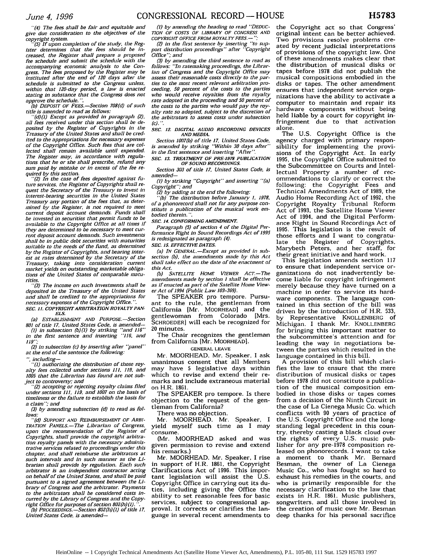*"(4) The fees shall be fair and equitable and give due consideration to the objectives of the*

*copyright system. "(5) If upon completion of the study, the Register determines that the fees should be increased, the Register shall prepare a proposed fee schedule and submit the schedule with the accompanying economic analysis to the Congress. The fees proposed by the Register may be instituted after the end of 120 days after the schedule is submitted to the Congress unless, within that 120-day period, a law is enacted stating in substance that the Congress does not approve the schedule. ".*

*(b) DEPOSIT OF FEES. -Section 708(d) of such title is amended to read as follows:*

*"(d)(l) Except as provided in paragraph (2), all fees received under this section shall be deposited by the Register of Copyrights in the Treasury of the United States and shall be credited to the appropriations for necessary expenses of the Copyright Office. Such fees that are collected shall remain available until expended. The Register may, in accordance with regulations that he or she shall prescribe, refund any sum paid by mistake or in excess of the fee required by this section.*

*"(2) In the case of fees deposited against future services, the Register of Copyrights shall request the Secretary of the Treasury to invest in interest-bearing securities in the United States Treasury any portion of the fees that, as determined by the Register, is not required to meet current deposit account demands. Funds shall be invested in securities that permit funds to be available to the Copyright Office at all times if they are determined to be necessary to meet current deposit account demands. Such investments shall be in public debt securities with maturities suitable to the needs of the fund, as determined by the Register of Copyrights, and bearing interest at rates determined by the Secretary of the Treasury, taking into consideration current market yields on outstanding marketable obligations of the United States of comparable maturities.*

*"(3) The income on such investments shall be deposited in the Treasury of the United States and shall be credited to the appropriations for necessary expenses of the Copyright Office." SEC. 11. COPYRIGHT ARBITRATION ROYALTY PAN-ELS.*

*(a) ESTABLISHMENT AND PURPOSE.-Section <sup>801</sup>of title 17, United States Code, is amended- (I) in subsection (b)(I) by striking "and 116" in the first sentence and inserting "116, and 119";*

*(2) in subsection (c) by inserting after "panel" at the end of the sentence the following:*

*including-*

*"(1) authorizing the distribution of those royalty fees collected under sections 111, 119. and 1005 that the Librarian has found are not sub-*

*ject to controversy: and "'(2) accepting or rejecting royalty claims filed under sections 111, 119, and 1007 on the basis of timeliness or the failure to establish the basis for a claim"; and*

*(3) by amending subsection (d) to read as follows:*

*"(d) SUPPORT AND REIMBURSEMENT OF ARBI-TRATION PANELS.-The Librarian of Congress, upon the recommendation of the Register of Copyrights, shall provide the copyright arbitration royalty panels with the necessary administrative services related to proceedings under this chapter, and shall reimburse the arbitrators at such intervals and in such manner as the Librarian shall provide by regulation. Each such arbitrator is an independent contractor acting on behalf of the United States, and shall be paid pursuant to a signed agreement between the Library of Congress and the arbitrator. Payments to the arbitrators shall be considered costs incurred by the Library of Congress and the Copyright Office for purposes of section 802(h) (1). ".*

*(b) PROCEEDINGS. -Section 802(h)(1) of title 17, United States Code, is amended-*

*(1) by amending the heading to read "DEDUC-TION OF COSTS OF LIBRARY OF CONGRESS AND COPYRIGHT OFFICE FROM ROYALTY FEES.-";*

*(2) in the first sentence by inserting "to sup-port distribution proceedings" after "Copyright Office"; and*

*(3) by amending the third sentence to read as follows: "In ratemaking proceedings, the Librarian of Congress and the Copyright Office may assess their reasonable costs directly to the parties to the most recent relevant arbitration proceeding, 50 percent of the costs to the parties who would receive royalties from the royalty rate adopted in the proceeding and 50 percent of the costs to the parties who would pay the royalty rate so adopted, subject to the discretion of the arbitrators to assess costs under subsection (C).".*

*SEC. 12. DIGITAL AUDIO RECORDING DEVICES AND MEDIA.*

*Section 1007(b) of title 17, United States Code, is amended by striking "Within 30 days after" in the first sentence and inserting "After".*

*SEC. 13. TREATMENT OF PRE-1978 PUBLICATION OF SOUND RECORDINGS.*

*Section 303 of title* **17,** *United States Code, is amended-*

*(I) by striking "Copyright" and inserting "(a) Copyright"; and*

*(2) by adding at the end the following: "(b) The distribution before January* **1,** *1978, of a phonorecord shall not for any purpose constitute a publication of the musical work embodied therein.* **".**

*SEC. 14. CONFORMING AMENDMENT.*

*Paragraph (5) of section 4 of the Digital Performance Right in Sound Recordings Act of <sup>1995</sup> is redesignated as paragraph (4).*

*SEC. 15. EFFECTIVE DATES.*

*(a) IN GENERAL.-Except as provided in subsection (b). the amendments made by this Act shall take effect on the date of the enactment of this Act.*

*(b) SATELLITE HOME VIEWER ACT.-The amendments made by section 1 shall be effective as if enacted as part of the Satellite Home Viewer Act of 1994 (Public Law 103-369).*

The SPEAKER pro tempore. Pursuant to the rule, the gentleman from California [Mr. MOORHEAD] and the gentlewoman from Colorado [Mrs. SCHROEDER] will each be recognized for 20 minutes.

The Chair recognizes the gentleman from California [Mr. MOORHEAD].

**GENERAL LEAVE**

Mr. MOORHEAD. Mr. Speaker, I ask unanimous consent that all Members may have **5** legislative days within which to revise and extend their remarks and include extraneous material on H.R. **1861.**

The SPEAKER pro tempore. Is there objection to the request of the gentleman from California?

There was no objection.

Mr. MOORHEAD. Mr. Speaker. I yield myself such time as I may consume.

(Mr. MOORHEAD asked and was given permission to revise and extend his remarks.)

Mr. MOORHEAD. Mr. Speaker, I rise in support of H.R. 1861, the Copyright Clarifications Act of 1996. This important legislation will assist the U.S. Copyright Office in carrying out its duties, including giving the Office the ability to set reasonable fees for basic services, subject to congressional approval. It corrects or clarifies the language in several recent amendments to the Copyright act so that Congress' original intent can be better achieved. Two provisions resolve problems created by recent judicial interpretations of provisions of the copyright law. One of these amendments makes clear that the distribution of musical disks or tapes before **1978** did not publish the musical compositions embodied in the disks or tapes. The other amendment ensures that independent service organizations have the ability to activate a computer to maintain and repair its hardware components without being held liable by a court for copyright infringement due to that activation alone.

The U.S. Copyright Office is the agency charged with primary responsibility for implementing the provisions of the Copyright Act. In early 1995, the Copyright Office submitted to the Subcommittee on Courts and Intellectual Property a number of recommendations to clarify or correct the following: the Copyright Fees and Technical Amendments Act of 1989, the Audio Home Recording Act of 1992, the Copyright Royalty Tribunal Reform Act of 1993, the Satellite Home Viewer Act of 1994, and the Digital Performance Right in Sound Recordings Act of 1995. This legislation is the result of those efforts and I want to congratulate the Register of Copyrights Marybeth Peters, and her staff, for their great initiative and hard work.

This legislation amends section 117 to ensure that independent service organizations do not inadvertently become liable for copyright infringement merely because they have turned on a machine in order to service its hardware components. The language contained in this section of the bill was driven by the introduction of H.R. 533, by Representative KNOLLENBERG of Michigan. I thank Mr. KNOLLENBERG for bringing this important matter to the subcommittee's attention and for leading the way in negotiations between the parties which resulted in the language contained in this bill.

A provision of this bill which clarifies the law to ensure that the mere distribution of musical disks or tapes before 1978 did not constitute a publication of the musical composition embodied in those disks or tapes comes from a decision of the Ninth Circuit in the case of La Cienega Music Co. which conflicts with 90 years of practice of the U.S. Copyright Office and the longstanding legal precedent in this country, thereby casting a black cloud over the rights of every U.S. music publisher for any pre-1978 composition released on phonorecords. I want to take a moment to thank Mr. Bernard Besman, the owner of La Cienega Music Co., who has fought so hard to exhaust his remedies in the courts, and who is primarily responsible for the necessary clarification to the law that exists in H.R. 1861. Music publishers, songwriters, and all those involved in the creation of music owe Mr. Besman deep thanks for his personal sacrifice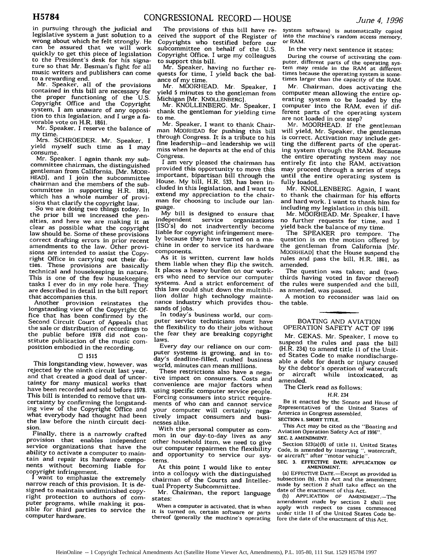in pursuing through the judicial and legislative system a just solution to a<br>wrong about which he felt strongly. He can be assured that we will work quickly to get this piece of legislatio to the President's desk for his signa ture so that Mr. Besman's fight for al music writers and publishers can come to a rewarding end.

Mr. Speaker, all of the provisions contained in this bill are necessary for the proper functioning of the U.S. Copyright Office and the Copyright system, I am unaware of any opposition to this legislation, and I urge a favorable vote on H.R. 1861.

Mr. Speaker, I reserve the balance of<br>my time.

Mrs. SCHROEDER. Mr. Speaker, I<br>yield myself such time as I may consume.

Mr. Speaker. I again thank my subcommittee chairman, the distinguished gentleman from California, [Mr. MOOR-HEAD], and I join the subcommittee chairman and the members of the subcommittee in supporting H.R. 1861, which has a whole number of provisions that clarify the copyright law.

So we are doing two things today. In the prior bill we increased the pen-<br>alties, and here we are making it as clear as possible what the copyright law should be. Some of these provisions correct drafting errors in prior recent<br>amendments to the law. Other provisions are intended to assist the Copyright Office in carrying out their duties. These provisions are basically technical and housekeeping in nature. This is one of the few housekeeping tasks I ever do in my role here. They are described in detail in the bill report that accompanies this,

Another provision reinstates the longstanding view of the Copyright Office that has been confirmed by the Second Circuit Court of Appeals that the sale or distribution of recordings to the public before 1978 did not constitute publication of the music com-<br>position embodied in the recording.

#### **0 1515**

This longstanding view, however, was rejected **by** the ninth circuit last year, tainty for many musical works that have been recorded and sold before **1978.** This bill is intended to remove that un- certainty **by** confirming the longstanding view of the Copyright Office and what everybody had thought had been the law before the ninth circuit decision.

Finally, there is a narrowly crafted provision that enables independent service organizations that have the ability to activate a computer to maintain and repair its hardware components without becoming liable for

copyright infringement. I want to emphasize the extremely narrow reach of this provision. It is designed to maintain undiminished copyright protection to authors of com- puter programs, while making it possible for third parties to service the computer hardware.

The provisions of this bill have received the support of the Register of Copyrights who testified before our subcommittee on behalf of the **U.S 1**Copyright Office. I urge my colleagues to support this bill.

**IIMr.** Speaker, having no further requests for time, I yield back the balance of my time.

Mr. MÓORHEAD. Mr. Speaker, I yield 5 minutes to the gentleman from Michigan [Mr. KNOLLENBERG].

Mr. KNOLLENBERG. Mr. Speaker, I thank the gentleman for yielding time

to me.<br>Mr. Speaker, I want to thank Chair-Mr. Speaker, I want to thank Chair-<br>man MOORHEAD for pushing this bill through Congress. It is a tribute to his fine leadership-and leadership we will miss when he departs at the end of this Congress.

I am very pleased the chairman has provided this opportunity to move this important, bipartisan bill through the House. My bill, H.R. 533, has been included in this legislation, and I want to extend my appreciation to the chair- man for choosing to include our language.

 $\sim$  My bill is designed to ensure that independent service  $\sim$  organizations [ISO's] do not inadvertently become<br>liable for copyright infringement merely because they have turned on a ma-<br>chine in order to service its hardware components.

As it is written, current law holds them liable when they flip the switch.<br>It places a heavy burden on our workers who need to service our computer systems. And a strict enforcement of this law could shut down the multibillion dollar high technology mainte- nance industry which provides thousands of jobs.

In today's business world, our com- puter service technicians must have the flexibility to do their jobs without the fear they are breaking copyright laws.

Every day our reliance on our com- puter systems is growing, and in today's deadline-filled, rushed business world, minutes can mean millions.<br>These restrictions also have a nega-

tive impact on consumers. Costs and convenience are major factors when using specific computer service people. Forcing consumers into strict requirements of who can and cannot service<br>your computer will certainly negatively impact consumers and busi-<br>nesses alike.<br>With the personal computer as com-

mon in our day-to-day lives as any other household item, we need to give our computer repairmen the flexibility and opportunity to service our systems.

At this point I would like to enter<br>into a colloquy with the distinguished chairman of the Courts and Intellectual Property Subcommittee.

Mr. Chairman, the report language states:

When a computer is activated, that is when it is turned on. certain software or parts thereof (generally the machine's operating system software) is automatically copied into the machine's random access memory, or RAM.

In the very next sentence it states:<br>During the course of activating the computer, different parts of the operating system may reside in the RAM at different<br>times because the operating system is some-<br>times larger than the capacity of the RAM.

Mr. Chairman, does activating the computer mean allowing the entire operating system to be loaded by the computer into the RAM, even if different parts of the operating system are not loaded in one step?

Mr. MOORHEAD. If the gentleman will yield, Mr. Speaker, the gentleman<br>is correct. Activation may include getting the different parts of the operating system through the RAM. Because the entire operating system may not entirely fit into the RAM, activation may proceed through a series of steps until the entire operating system is fully loaded.

Mr. KNOLLENBERG. Again, I want to thank the chairman for his efforts and hard work. I want to thank him for

including my legislation in this bill. no further requests for time, and I yield back the balance of my time.

The SPEAKER pro tempore. The question is on the motion offered by<br>the gentleman from California [Mr. MOORHEAD] that the House suspend the rules and pass the bill, H.R. 1861, as amended.

The question was taken; and (twothirds having voted in favor thereof) the rules were suspended and the bill, as amended, was passed.

**<sup>A</sup>**motion to reconsider was laid on the table.

## BOATING AND AVIATION

OPERATION SAFETY ACT OF 1996

Mr. GEKAS. Mr. Speaker, I move to suspend the rules and pass the bill (H.R. 234) to amend title 11 of the United States Code to make nondischargeable a debt for death or injury caused by the debtor's operation of watercraft or aircraft while intoxicated, as amended.

The Clerk read as follows:

### *H.R.* 234

Be it enacted by the Senate and House of Representatives of the United States of America in Congress assembled, **SECTION 1. SHORT** TITLE.

This Act may be cited as the "Boating and Aviation Operation Safety Act of 1996". **SEC. 2. AMENDMENT.**

Section 523(a)(9) of title 11, United States Code, is amended by inserting ", watercraft. Code, is amended by inserting ", watercraft, or aircraft" after "motor vehicle".

SEC. **3. EFFECTIVE DATE: APPLICATION** OF **AMENDMENT.**

(a) **EFFECTIVE** DATE.-Except as provided in subsection **(b),** this Act and the amendment made by section 2 shall take effect on the date of the enactment of this Act.

**(b) APPLICATION** OF AMENDMENT.-The amendment made **by** section 2 shall not apply with respect to cases commenced under title **11** of the United States Code before the date of the enactment of this Act.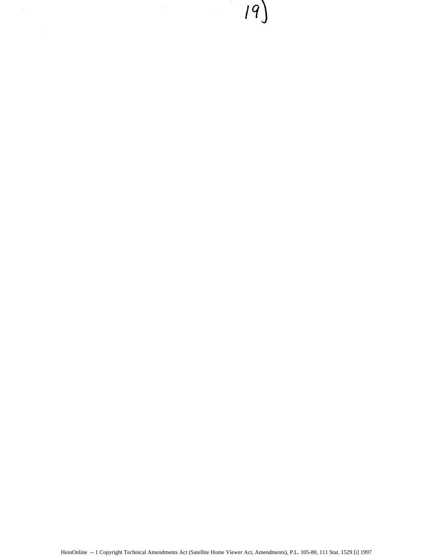